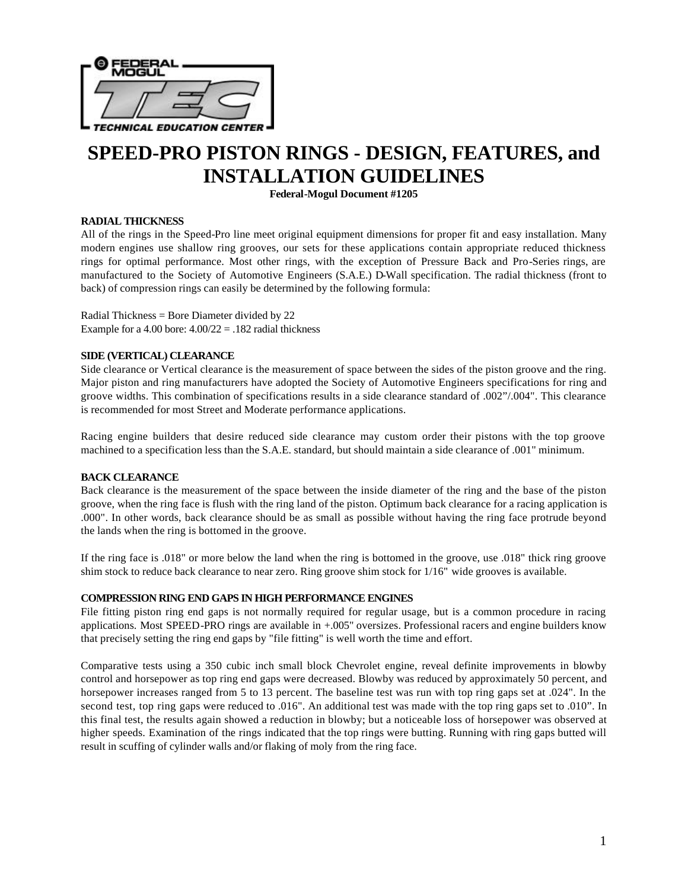

# **SPEED-PRO PISTON RINGS - DESIGN, FEATURES, and INSTALLATION GUIDELINES**

**Federal-Mogul Document #1205**

# **RADIAL THICKNESS**

All of the rings in the Speed-Pro line meet original equipment dimensions for proper fit and easy installation. Many modern engines use shallow ring grooves, our sets for these applications contain appropriate reduced thickness rings for optimal performance. Most other rings, with the exception of Pressure Back and Pro-Series rings, are manufactured to the Society of Automotive Engineers (S.A.E.) D-Wall specification. The radial thickness (front to back) of compression rings can easily be determined by the following formula:

Radial Thickness = Bore Diameter divided by 22 Example for a 4.00 bore:  $4.00/22 = .182$  radial thickness

#### **SIDE (VERTICAL) CLEARANCE**

Side clearance or Vertical clearance is the measurement of space between the sides of the piston groove and the ring. Major piston and ring manufacturers have adopted the Society of Automotive Engineers specifications for ring and groove widths. This combination of specifications results in a side clearance standard of .002"/.004". This clearance is recommended for most Street and Moderate performance applications.

Racing engine builders that desire reduced side clearance may custom order their pistons with the top groove machined to a specification less than the S.A.E. standard, but should maintain a side clearance of .001" minimum.

#### **BACK CLEARANCE**

Back clearance is the measurement of the space between the inside diameter of the ring and the base of the piston groove, when the ring face is flush with the ring land of the piston. Optimum back clearance for a racing application is .000". In other words, back clearance should be as small as possible without having the ring face protrude beyond the lands when the ring is bottomed in the groove.

If the ring face is .018" or more below the land when the ring is bottomed in the groove, use .018" thick ring groove shim stock to reduce back clearance to near zero. Ring groove shim stock for 1/16" wide grooves is available.

#### **COMPRESSION RING END GAPS IN HIGH PERFORMANCE ENGINES**

File fitting piston ring end gaps is not normally required for regular usage, but is a common procedure in racing applications. Most SPEED-PRO rings are available in +.005" oversizes. Professional racers and engine builders know that precisely setting the ring end gaps by "file fitting" is well worth the time and effort.

Comparative tests using a 350 cubic inch small block Chevrolet engine, reveal definite improvements in blowby control and horsepower as top ring end gaps were decreased. Blowby was reduced by approximately 50 percent, and horsepower increases ranged from 5 to 13 percent. The baseline test was run with top ring gaps set at .024". In the second test, top ring gaps were reduced to .016". An additional test was made with the top ring gaps set to .010". In this final test, the results again showed a reduction in blowby; but a noticeable loss of horsepower was observed at higher speeds. Examination of the rings indicated that the top rings were butting. Running with ring gaps butted will result in scuffing of cylinder walls and/or flaking of moly from the ring face.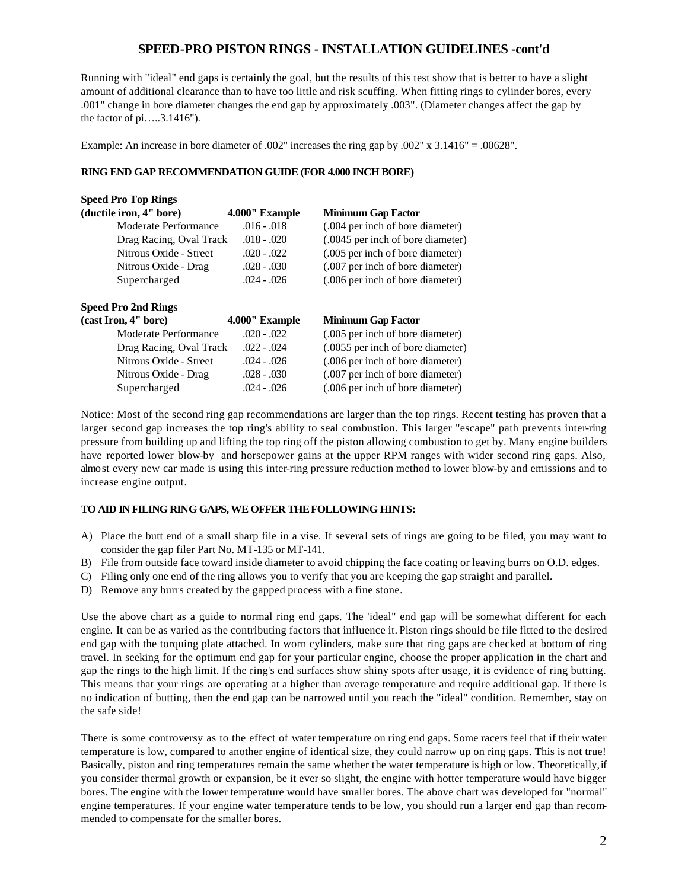# **SPEED-PRO PISTON RINGS - INSTALLATION GUIDELINES -cont'd**

Running with "ideal" end gaps is certainly the goal, but the results of this test show that is better to have a slight amount of additional clearance than to have too little and risk scuffing. When fitting rings to cylinder bores, every .001" change in bore diameter changes the end gap by approximately .003". (Diameter changes affect the gap by the factor of pi…..3.1416").

Example: An increase in bore diameter of .002" increases the ring gap by .002" x 3.1416" = .00628".

### **RING END GAP RECOMMENDATION GUIDE (FOR 4.000 INCH BORE)**

| <b>Speed Pro Top Rings</b> |                |                                   |  |  |
|----------------------------|----------------|-----------------------------------|--|--|
| (ductile iron, 4" bore)    | 4.000" Example | <b>Minimum Gap Factor</b>         |  |  |
| Moderate Performance       | $.016 - .018$  | (.004 per inch of bore diameter)  |  |  |
| Drag Racing, Oval Track    | $.018 - .020$  | (.0045 per inch of bore diameter) |  |  |
| Nitrous Oxide - Street     | $.020 - .022$  | (.005 per inch of bore diameter)  |  |  |
| Nitrous Oxide - Drag       | $.028 - .030$  | (.007 per inch of bore diameter)  |  |  |
| Supercharged               | $.024 - .026$  | (.006 per inch of bore diameter)  |  |  |
|                            |                |                                   |  |  |
| <b>Speed Pro 2nd Rings</b> |                |                                   |  |  |
| (cast Iron, 4" bore)       | 4.000" Example | <b>Minimum Gap Factor</b>         |  |  |
| Moderate Performance       | $.020 - .022$  | (.005 per inch of bore diameter)  |  |  |
| Drag Racing, Oval Track    | $.022 - .024$  | (.0055 per inch of bore diameter) |  |  |
| Nitrous Oxide - Street     | $.024 - .026$  | (.006 per inch of bore diameter)  |  |  |
| Nitrous Oxide - Drag       | $.028 - .030$  | (.007 per inch of bore diameter)  |  |  |
| Supercharged               |                |                                   |  |  |

Notice: Most of the second ring gap recommendations are larger than the top rings. Recent testing has proven that a larger second gap increases the top ring's ability to seal combustion. This larger "escape" path prevents inter-ring pressure from building up and lifting the top ring off the piston allowing combustion to get by. Many engine builders have reported lower blow-by and horsepower gains at the upper RPM ranges with wider second ring gaps. Also, almost every new car made is using this inter-ring pressure reduction method to lower blow-by and emissions and to increase engine output.

# **TO AID IN FILING RING GAPS, WE OFFER THE FOLLOWING HINTS:**

- A) Place the butt end of a small sharp file in a vise. If several sets of rings are going to be filed, you may want to consider the gap filer Part No. MT-135 or MT-141.
- B) File from outside face toward inside diameter to avoid chipping the face coating or leaving burrs on O.D. edges.
- C) Filing only one end of the ring allows you to verify that you are keeping the gap straight and parallel.
- D) Remove any burrs created by the gapped process with a fine stone.

Use the above chart as a guide to normal ring end gaps. The 'ideal" end gap will be somewhat different for each engine. It can be as varied as the contributing factors that influence it. Piston rings should be file fitted to the desired end gap with the torquing plate attached. In worn cylinders, make sure that ring gaps are checked at bottom of ring travel. In seeking for the optimum end gap for your particular engine, choose the proper application in the chart and gap the rings to the high limit. If the ring's end surfaces show shiny spots after usage, it is evidence of ring butting. This means that your rings are operating at a higher than average temperature and require additional gap. If there is no indication of butting, then the end gap can be narrowed until you reach the "ideal" condition. Remember, stay on the safe side!

There is some controversy as to the effect of water temperature on ring end gaps. Some racers feel that if their water temperature is low, compared to another engine of identical size, they could narrow up on ring gaps. This is not true! Basically, piston and ring temperatures remain the same whether the water temperature is high or low. Theoretically, if you consider thermal growth or expansion, be it ever so slight, the engine with hotter temperature would have bigger bores. The engine with the lower temperature would have smaller bores. The above chart was developed for "normal" engine temperatures. If your engine water temperature tends to be low, you should run a larger end gap than recommended to compensate for the smaller bores.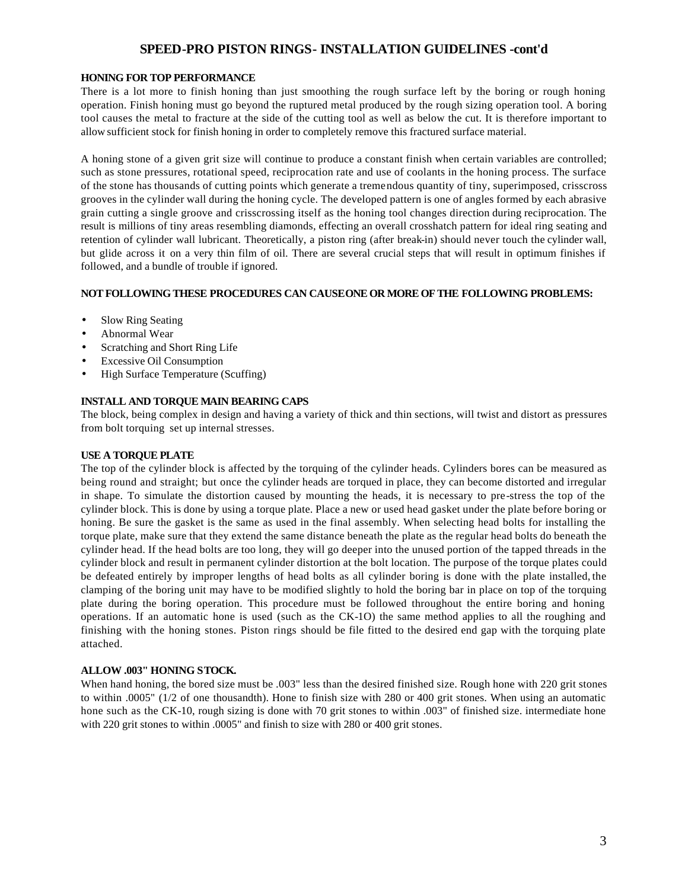# **SPEED-PRO PISTON RINGS- INSTALLATION GUIDELINES -cont'd**

#### **HONING FOR TOP PERFORMANCE**

There is a lot more to finish honing than just smoothing the rough surface left by the boring or rough honing operation. Finish honing must go beyond the ruptured metal produced by the rough sizing operation tool. A boring tool causes the metal to fracture at the side of the cutting tool as well as below the cut. It is therefore important to allow sufficient stock for finish honing in order to completely remove this fractured surface material.

A honing stone of a given grit size will continue to produce a constant finish when certain variables are controlled; such as stone pressures, rotational speed, reciprocation rate and use of coolants in the honing process. The surface of the stone has thousands of cutting points which generate a tremendous quantity of tiny, superimposed, crisscross grooves in the cylinder wall during the honing cycle. The developed pattern is one of angles formed by each abrasive grain cutting a single groove and crisscrossing itself as the honing tool changes direction during reciprocation. The result is millions of tiny areas resembling diamonds, effecting an overall crosshatch pattern for ideal ring seating and retention of cylinder wall lubricant. Theoretically, a piston ring (after break-in) should never touch the cylinder wall, but glide across it on a very thin film of oil. There are several crucial steps that will result in optimum finishes if followed, and a bundle of trouble if ignored.

#### **NOT FOLLOWING THESE PROCEDURES CAN CAUSE ONE OR MORE OF THE FOLLOWING PROBLEMS:**

- Slow Ring Seating
- Abnormal Wear
- Scratching and Short Ring Life
- **Excessive Oil Consumption**
- High Surface Temperature (Scuffing)

# **INSTALL AND TORQUE MAIN BEARING CAPS**

The block, being complex in design and having a variety of thick and thin sections, will twist and distort as pressures from bolt torquing set up internal stresses.

#### **USE A TORQUE PLATE**

The top of the cylinder block is affected by the torquing of the cylinder heads. Cylinders bores can be measured as being round and straight; but once the cylinder heads are torqued in place, they can become distorted and irregular in shape. To simulate the distortion caused by mounting the heads, it is necessary to pre-stress the top of the cylinder block. This is done by using a torque plate. Place a new or used head gasket under the plate before boring or honing. Be sure the gasket is the same as used in the final assembly. When selecting head bolts for installing the torque plate, make sure that they extend the same distance beneath the plate as the regular head bolts do beneath the cylinder head. If the head bolts are too long, they will go deeper into the unused portion of the tapped threads in the cylinder block and result in permanent cylinder distortion at the bolt location. The purpose of the torque plates could be defeated entirely by improper lengths of head bolts as all cylinder boring is done with the plate installed, the clamping of the boring unit may have to be modified slightly to hold the boring bar in place on top of the torquing plate during the boring operation. This procedure must be followed throughout the entire boring and honing operations. If an automatic hone is used (such as the CK-1O) the same method applies to all the roughing and finishing with the honing stones. Piston rings should be file fitted to the desired end gap with the torquing plate attached.

#### **ALLOW .003" HONING STOCK.**

When hand honing, the bored size must be .003" less than the desired finished size. Rough hone with 220 grit stones to within .0005" (1/2 of one thousandth). Hone to finish size with 280 or 400 grit stones. When using an automatic hone such as the CK-10, rough sizing is done with 70 grit stones to within .003" of finished size. intermediate hone with 220 grit stones to within .0005" and finish to size with 280 or 400 grit stones.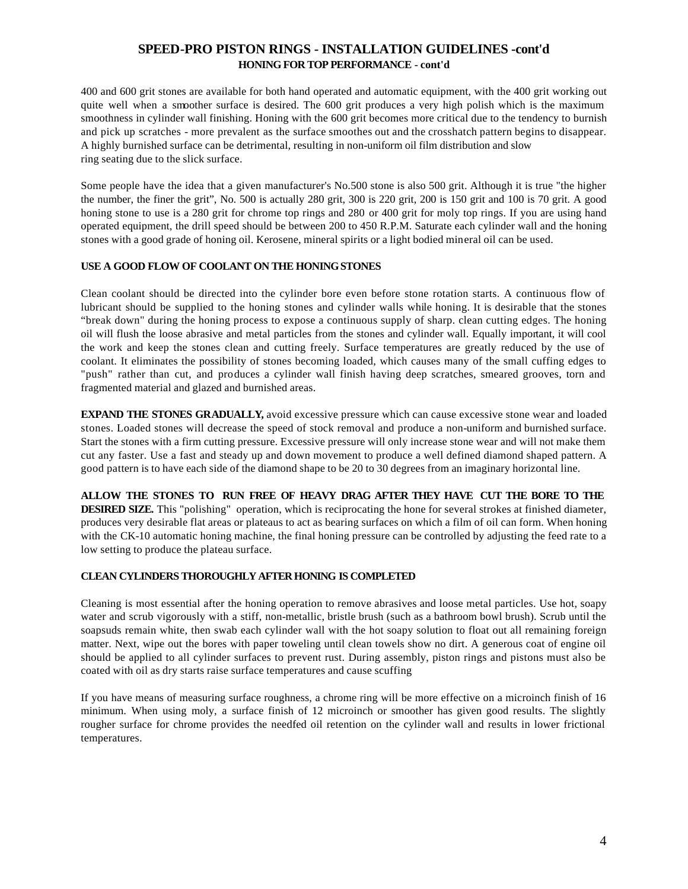# **SPEED-PRO PISTON RINGS - INSTALLATION GUIDELINES -cont'd HONING FOR TOP PERFORMANCE - cont'd**

400 and 600 grit stones are available for both hand operated and automatic equipment, with the 400 grit working out quite well when a smoother surface is desired. The 600 grit produces a very high polish which is the maximum smoothness in cylinder wall finishing. Honing with the 600 grit becomes more critical due to the tendency to burnish and pick up scratches - more prevalent as the surface smoothes out and the crosshatch pattern begins to disappear. A highly burnished surface can be detrimental, resulting in non-uniform oil film distribution and slow ring seating due to the slick surface.

Some people have the idea that a given manufacturer's No.500 stone is also 500 grit. Although it is true "the higher the number, the finer the grit", No. 500 is actually 280 grit, 300 is 220 grit, 200 is 150 grit and 100 is 70 grit. A good honing stone to use is a 280 grit for chrome top rings and 280 or 400 grit for moly top rings. If you are using hand operated equipment, the drill speed should be between 200 to 450 R.P.M. Saturate each cylinder wall and the honing stones with a good grade of honing oil. Kerosene, mineral spirits or a light bodied mineral oil can be used.

# **USE A GOOD FLOW OF COOLANT ON THE HONING STONES**

Clean coolant should be directed into the cylinder bore even before stone rotation starts. A continuous flow of lubricant should be supplied to the honing stones and cylinder walls while honing. It is desirable that the stones "break down" during the honing process to expose a continuous supply of sharp. clean cutting edges. The honing oil will flush the loose abrasive and metal particles from the stones and cylinder wall. Equally important, it will cool the work and keep the stones clean and cutting freely. Surface temperatures are greatly reduced by the use of coolant. It eliminates the possibility of stones becoming loaded, which causes many of the small cuffing edges to "push" rather than cut, and produces a cylinder wall finish having deep scratches, smeared grooves, torn and fragmented material and glazed and burnished areas.

**EXPAND THE STONES GRADUALLY,** avoid excessive pressure which can cause excessive stone wear and loaded stones. Loaded stones will decrease the speed of stock removal and produce a non-uniform and burnished surface. Start the stones with a firm cutting pressure. Excessive pressure will only increase stone wear and will not make them cut any faster. Use a fast and steady up and down movement to produce a well defined diamond shaped pattern. A good pattern is to have each side of the diamond shape to be 20 to 30 degrees from an imaginary horizontal line.

**ALLOW THE STONES TO RUN FREE OF HEAVY DRAG AFTER THEY HAVE CUT THE BORE TO THE DESIRED SIZE.** This "polishing" operation, which is reciprocating the hone for several strokes at finished diameter, produces very desirable flat areas or plateaus to act as bearing surfaces on which a film of oil can form. When honing with the CK-10 automatic honing machine, the final honing pressure can be controlled by adjusting the feed rate to a low setting to produce the plateau surface.

# **CLEAN CYLINDERS THOROUGHLY AFTER HONING IS COMPLETED**

Cleaning is most essential after the honing operation to remove abrasives and loose metal particles. Use hot, soapy water and scrub vigorously with a stiff, non-metallic, bristle brush (such as a bathroom bowl brush). Scrub until the soapsuds remain white, then swab each cylinder wall with the hot soapy solution to float out all remaining foreign matter. Next, wipe out the bores with paper toweling until clean towels show no dirt. A generous coat of engine oil should be applied to all cylinder surfaces to prevent rust. During assembly, piston rings and pistons must also be coated with oil as dry starts raise surface temperatures and cause scuffing

If you have means of measuring surface roughness, a chrome ring will be more effective on a microinch finish of 16 minimum. When using moly, a surface finish of 12 microinch or smoother has given good results. The slightly rougher surface for chrome provides the needfed oil retention on the cylinder wall and results in lower frictional temperatures.